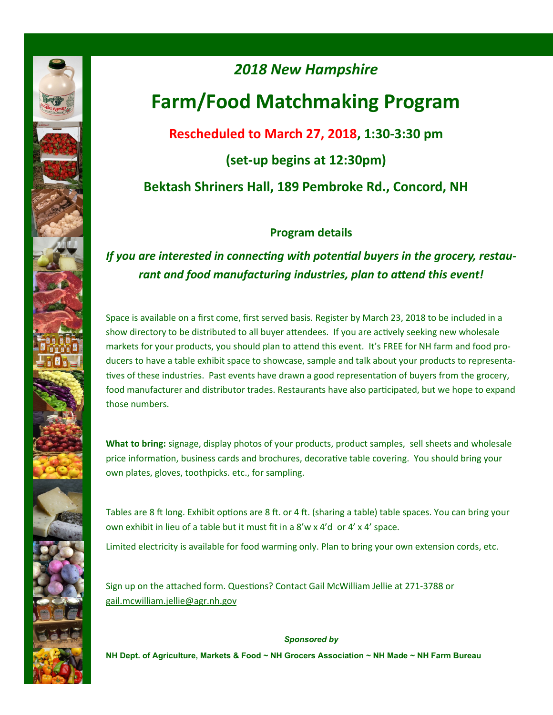

# *2018 New Hampshire*  **Farm/Food Matchmaking Program Rescheduled to March 27, 2018, 1:30-3:30 pm (set-up begins at 12:30pm) Bektash Shriners Hall, 189 Pembroke Rd., Concord, NH**

#### **Program details**

#### *If you are interested in connecting with potential buyers in the grocery, restaurant and food manufacturing industries, plan to attend this event!*

Space is available on a first come, first served basis. Register by March 23, 2018 to be included in a show directory to be distributed to all buyer attendees. If you are actively seeking new wholesale markets for your products, you should plan to attend this event. It's FREE for NH farm and food producers to have a table exhibit space to showcase, sample and talk about your products to representatives of these industries. Past events have drawn a good representation of buyers from the grocery, food manufacturer and distributor trades. Restaurants have also participated, but we hope to expand those numbers.

**What to bring:** signage, display photos of your products, product samples, sell sheets and wholesale price information, business cards and brochures, decorative table covering. You should bring your own plates, gloves, toothpicks. etc., for sampling.

Tables are 8 ft long. Exhibit options are 8 ft. or 4 ft. (sharing a table) table spaces. You can bring your own exhibit in lieu of a table but it must fit in a 8'w x 4'd or 4' x 4' space.

Limited electricity is available for food warming only. Plan to bring your own extension cords, etc.

Sign up on the attached form. Questions? Contact Gail McWilliam Jellie at 271-3788 or gail.mcwilliam.jellie@agr.nh.gov

*Sponsored by*  **NH Dept. of Agriculture, Markets & Food ~ NH Grocers Association ~ NH Made ~ NH Farm Bureau**